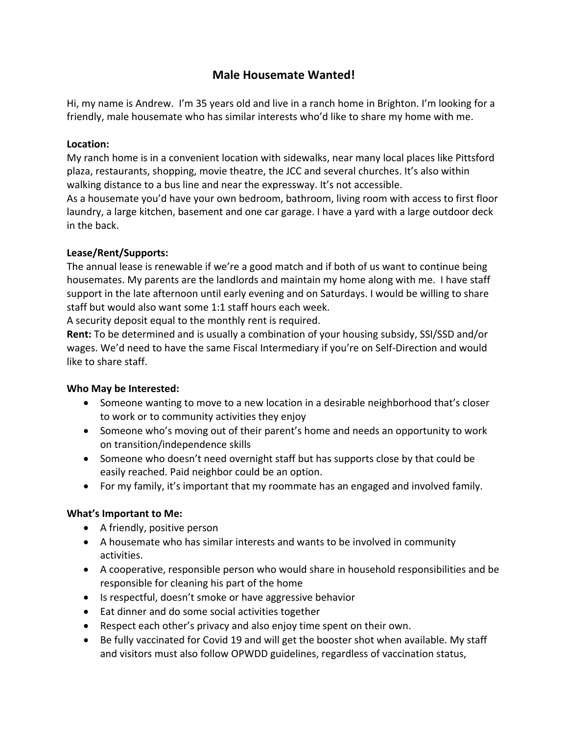# **Male Housemate Wanted!**

Hi, my name is Andrew. I'm 35 years old and live in a ranch home in Brighton. I'm looking for a friendly, male housemate who has similar interests who'd like to share my home with me.

#### **Location:**

My ranch home is in a convenient location with sidewalks, near many local places like Pittsford plaza, restaurants, shopping, movie theatre, the JCC and several churches. It's also within walking distance to a bus line and near the expressway. It's not accessible.

As a housemate you'd have your own bedroom, bathroom, living room with access to first floor laundry, a large kitchen, basement and one car garage. I have a yard with a large outdoor deck in the back.

## **Lease/Rent/Supports:**

The annual lease is renewable if we're a good match and if both of us want to continue being housemates. My parents are the landlords and maintain my home along with me. I have staff support in the late afternoon until early evening and on Saturdays. I would be willing to share staff but would also want some 1:1 staff hours each week.

A security deposit equal to the monthly rent is required.

**Rent:** To be determined and is usually a combination of your housing subsidy, SSI/SSD and/or wages. We'd need to have the same Fiscal Intermediary if you're on Self-Direction and would like to share staff.

#### **Who May be Interested:**

- Someone wanting to move to a new location in a desirable neighborhood that's closer to work or to community activities they enjoy
- Someone who's moving out of their parent's home and needs an opportunity to work on transition/independence skills
- Someone who doesn't need overnight staff but has supports close by that could be easily reached. Paid neighbor could be an option.
- For my family, it's important that my roommate has an engaged and involved family.

# **What's Important to Me:**

- A friendly, positive person
- A housemate who has similar interests and wants to be involved in community activities.
- A cooperative, responsible person who would share in household responsibilities and be responsible for cleaning his part of the home
- Is respectful, doesn't smoke or have aggressive behavior
- Eat dinner and do some social activities together
- Respect each other's privacy and also enjoy time spent on their own.
- Be fully vaccinated for Covid 19 and will get the booster shot when available. My staff and visitors must also follow OPWDD guidelines, regardless of vaccination status,